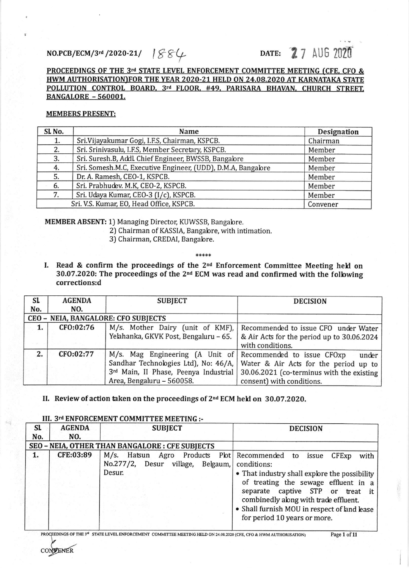# $NO.PCB/ECM/3^{rd}/2020-21/$   $|S5/\sqrt{2}$  DATE: 27 AUG 2020

# PROCEEDINGS OF THE 3rd STATE LEVEL ENFORCEMENT COMMITTEE MEETING (CFE, CFO & HWM AUTHORISATION)FOR THE YEAR 2020-21 HELD ON 24.08.2020 AT KARNATAKA STATE POLLUTION CONTROL BOARD, 3rd FLOOR, #49, PARISARA BHAVAN, CHURCH STREET, BANGALORE - 560001.

### MEMBERS PRESENT:

| SL <sub>No.</sub>                                    | Name                                                         | Designation |  |
|------------------------------------------------------|--------------------------------------------------------------|-------------|--|
| 1.                                                   | Sri. Vijayakumar Gogi, I.F.S, Chairman, KSPCB.               | Chairman    |  |
| 2.                                                   | Sri. Srinivasulu, I.F.S, Member Secretary, KSPCB.            | Member      |  |
| 3.                                                   | Sri. Suresh.B, Addl. Chief Engineer, BWSSB, Bangalore        | Member      |  |
| 4.                                                   | Sri. Somesh.M.C, Executive Engineer, (UDD), D.M.A, Bangalore | Member      |  |
| 5.                                                   | Dr. A. Ramesh, CEO-1, KSPCB.                                 | Member      |  |
| 6.                                                   | Sri. Prabhudev. M.K, CEO-2, KSPCB.                           | Member      |  |
| 7.                                                   | Sri. Udaya Kumar, CEO-3 (I/c), KSPCB.                        | Member      |  |
| Sri. V.S. Kumar, EO, Head Office, KSPCB.<br>Convener |                                                              |             |  |

MEMBER ABSENT: 1) Managing Director, KUWSSB, Bangabre.

- 2) Chairman of KASSIA, Bangalore, with intimation.
- 3) Chairman, CREDAI, Bangabre.

\*\*\*\*\*

I. Read & confirm the proceedings of the 2<sup>nd</sup> Enforcement Committee Meeting held on  $30.07.2020$ : The proceedings of the  $2<sup>nd</sup>$  ECM was read and confirmed with the following corrections:d

| <b>SL</b>                           | <b>AGENDA</b> | <b>SUBJECT</b>                                             | <b>DECISION</b>                                                              |
|-------------------------------------|---------------|------------------------------------------------------------|------------------------------------------------------------------------------|
| No.                                 | NO.           |                                                            |                                                                              |
| CEO - NEIA, BANGALORE: CFO SUBJECTS |               |                                                            |                                                                              |
| 1.                                  | CFO:02:76     |                                                            | M/s. Mother Dairy (unit of KMF), Recommended to issue CFO under Water        |
|                                     |               | Yelahanka, GKVK Post, Bengaluru - 65.                      | & Air Acts for the period up to 30.06.2024                                   |
|                                     |               |                                                            | with conditions.                                                             |
| 2.                                  | CFO:02:77     | M/s. Mag Engineering (A Unit of Recommended to issue CFOxp | under                                                                        |
|                                     |               |                                                            | Sandhar Technologies Ltd), No: 46/A,   Water & Air Acts for the period up to |
|                                     |               | 3rd Main, II Phase, Peenya Industrial                      | 30.06.2021 (co-terminus with the existing                                    |
|                                     |               | Area, Bengaluru - 560058.                                  | consent) with conditions.                                                    |

# II. Review of action taken on the proceedings of  $2<sup>nd</sup>$  ECM held on 30.07.2020.

| <b>SL</b><br>No. | <b>AGENDA</b><br>NO. | <b>SUBJECT</b>                                                                                                 | <b>DECISION</b>                                                                                                                                                                                                                                                     |
|------------------|----------------------|----------------------------------------------------------------------------------------------------------------|---------------------------------------------------------------------------------------------------------------------------------------------------------------------------------------------------------------------------------------------------------------------|
|                  |                      | SEO - NEIA, OTHER THAN BANGALORE : CFE SUBJECTS                                                                |                                                                                                                                                                                                                                                                     |
| 1.               | CFE:03:89            | M/s. Hatsun Agro Products Plot Recommended to issue<br>No.277/2, Desur village, Belgaum, conditions:<br>Desur. | CFExp<br>with<br>• That industry shall explore the possibility<br>of treating the sewage effluent in a<br>separate captive STP or treat it<br>combinedly along with trade effluent.<br>• Shall furnish MOU in respect of land lease<br>for period 10 years or more. |

# III. 3rd ENFORCEMENT COMMITTEE MEETING :-

**CONVENER** 

PROCEEDINGS OF THE 3<sup>rd</sup> STATE LEVEL ENFORCEMENT COMMITTEE MEETING HELD ON 24.08.2020 (CFE, CFO & HWM AUTHORISATION) Page 1 of 11